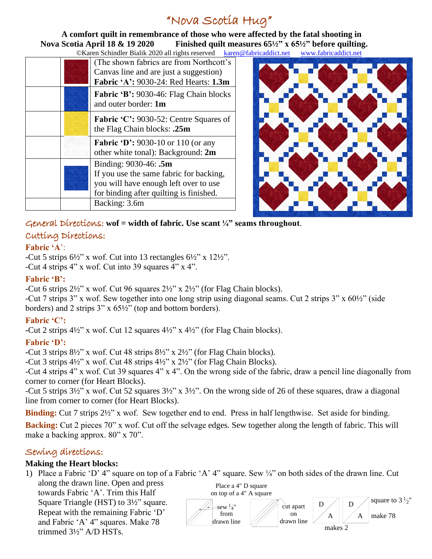# "Nova Scotia Hug"

 **A comfort quilt in remembrance of those who were affected by the fatal shooting in Nova Scotia April 18 & 19 2020 Finished quilt measures 65½" x 65½" before quilting.**<br> **CKaren Schindler Bialik 2020 all rights reserved karen@fabricaddict net** www.fabricaddict net l@fabricaddict.net [www.fabricaddict.net](http://www.fabricaddict.net/)

| $\triangle$ Nateri Schmuler Brank 2020 and rights reserved<br>каген |                                                                                                                                                      |
|---------------------------------------------------------------------|------------------------------------------------------------------------------------------------------------------------------------------------------|
|                                                                     | (The shown fabrics are from Northcott's<br>Canvas line and are just a suggestion)<br><b>Fabric 'A': 9030-24: Red Hearts: 1.3m</b>                    |
|                                                                     | <b>Fabric 'B': 9030-46: Flag Chain blocks</b><br>and outer border: 1m                                                                                |
|                                                                     | <b>Fabric 'C': 9030-52: Centre Squares of</b><br>the Flag Chain blocks: .25m                                                                         |
|                                                                     | <b>Fabric 'D':</b> 9030-10 or 110 (or any<br>other white tonal): Background: 2m                                                                      |
|                                                                     | Binding: 9030-46: .5m<br>If you use the same fabric for backing,<br>you will have enough left over to use<br>for binding after quilting is finished. |
|                                                                     | Backing: 3.6m                                                                                                                                        |



General Directions: **wof = width of fabric. Use scant ¼" seams throughout**.

## Cutting Directions:

#### **Fabric 'A**':

**-**Cut 5 strips 6½" x wof. Cut into 13 rectangles 6½" x 12½". -Cut 4 strips 4" x wof. Cut into 39 squares 4" x 4".

### **Fabric 'B':**

**-**Cut 6 strips 2½" x wof. Cut 96 squares 2½" x 2½" (for Flag Chain blocks).

-Cut 7 strips 3" x wof. Sew together into one long strip using diagonal seams. Cut 2 strips 3" x 60½" (side borders) and 2 strips 3" x 65½" (top and bottom borders).

## **Fabric 'C':**

**-**Cut 2 strips 4½" x wof. Cut 12 squares 4½" x 4½" (for Flag Chain blocks).

#### **Fabric 'D':**

**-**Cut 3 strips 8½" x wof. Cut 48 strips 8½" x 2½" (for Flag Chain blocks).

-Cut 3 strips 4½" x wof. Cut 48 strips 4½" x 2½" (for Flag Chain Blocks).

-Cut 4 strips 4" x wof. Cut 39 squares 4" x 4". On the wrong side of the fabric, draw a pencil line diagonally from corner to corner (for Heart Blocks).

-Cut 5 strips 3½" x wof. Cut 52 squares 3½" x 3½". On the wrong side of 26 of these squares, draw a diagonal line from corner to corner (for Heart Blocks).

**Binding:** Cut 7 strips  $2\frac{1}{2}$ " x wof. Sew together end to end. Press in half lengthwise. Set aside for binding.

**Backing:** Cut 2 pieces 70" x wof. Cut off the selvage edges. Sew together along the length of fabric. This will make a backing approx.  $80''$  x 70".

## Sewing directions:

#### **Making the Heart blocks:**

1) Place a Fabric 'D' 4" square on top of a Fabric 'A' 4" square. Sew ¼" on both sides of the drawn line. Cut

along the drawn line. Open and press towards Fabric 'A'. Trim this Half Square Triangle (HST) to 3½" square. Repeat with the remaining Fabric 'D'<br>and Fabric 'A' 4" squares. Make 78  $\overline{\text{trimmed}}$  3/2" A/D HSTs. and Fabric 'A' 4" squares. Make 78